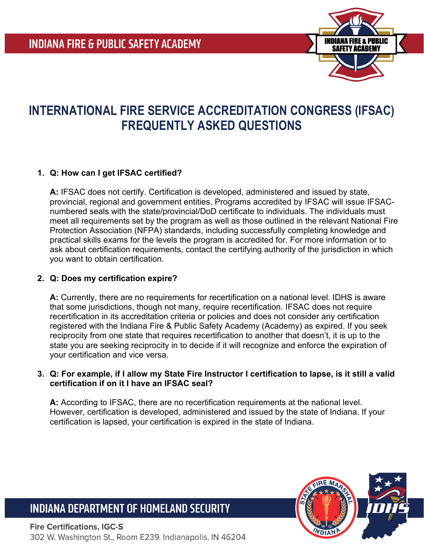

# **INTERNATIONAL FIRE SERVICE ACCREDITATION CONGRESS (IFSAC) FREQUENTLY ASKED QUESTIONS**

### **1. Q: How can I get IFSAC certified?**

**A:** IFSAC does not certify. Certification is developed, administered and issued by state, provincial, regional and government entities. Programs accredited by IFSAC will issue IFSACnumbered seals with the state/provincial/DoD certificate to individuals. The individuals must meet all requirements set by the program as well as those outlined in the relevant National Fire Protection Association (NFPA) standards, including successfully completing knowledge and practical skills exams for the levels the program is accredited for. For more information or to ask about certification requirements, contact the certifying authority of the jurisdiction in which you want to obtain certification.

#### **2. Q: Does my certification expire?**

**A:** Currently, there are no requirements for recertification on a national level. IDHS is aware that some jurisdictions, though not many, require recertification. IFSAC does not require recertification in its accreditation criteria or policies and does not consider any certification registered with the Indiana Fire & Public Safety Academy (Academy) as expired. If you seek reciprocity from one state that requires recertification to another that doesn't, it is up to the state you are seeking reciprocity in to decide if it will recognize and enforce the expiration of your certification and vice versa.

#### **3. Q: For example, if I allow my State Fire Instructor I certification to lapse, is it still a valid certification if on it I have an IFSAC seal?**

**A:** According to IFSAC, there are no recertification requirements at the national level. However, certification is developed, administered and issued by the state of Indiana. If your certification is lapsed, your certification is expired in the state of Indiana.

## **INDIANA DEPARTMENT OF HOMELAND SECURITY**

**Fire Certifications, IGC-S** 302 W. Washington St., Room E239. Indianapolis, IN 46204